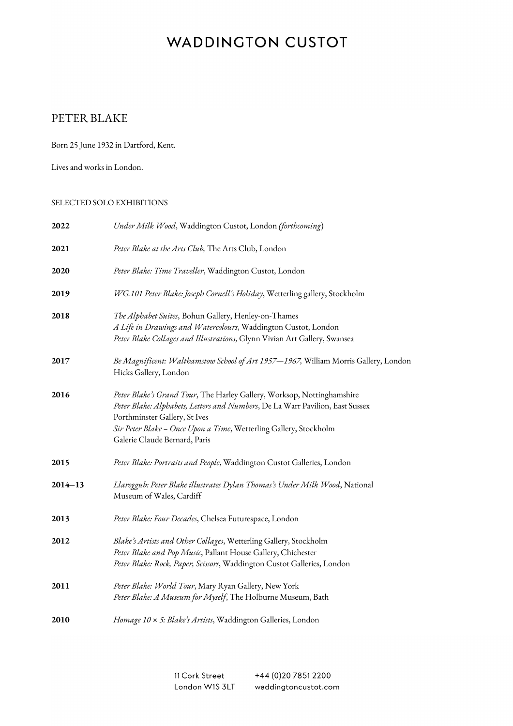#### PETER BLAKE

Born 25 June 1932 in Dartford, Kent.

Lives and works in London.

#### SELECTED SOLO EXHIBITIONS

| 2022        | Under Milk Wood, Waddington Custot, London (forthcoming)                                                                                                                                                                                                                                       |
|-------------|------------------------------------------------------------------------------------------------------------------------------------------------------------------------------------------------------------------------------------------------------------------------------------------------|
| 2021        | Peter Blake at the Arts Club, The Arts Club, London                                                                                                                                                                                                                                            |
| 2020        | Peter Blake: Time Traveller, Waddington Custot, London                                                                                                                                                                                                                                         |
| 2019        | WG.101 Peter Blake: Joseph Cornell's Holiday, Wetterling gallery, Stockholm                                                                                                                                                                                                                    |
| 2018        | The Alphabet Suites, Bohun Gallery, Henley-on-Thames<br>A Life in Drawings and Watercolours, Waddington Custot, London<br>Peter Blake Collages and Illustrations, Glynn Vivian Art Gallery, Swansea                                                                                            |
| 2017        | Be Magnificent: Walthamstow School of Art 1957-1967, William Morris Gallery, London<br>Hicks Gallery, London                                                                                                                                                                                   |
| 2016        | Peter Blake's Grand Tour, The Harley Gallery, Worksop, Nottinghamshire<br>Peter Blake: Alphabets, Letters and Numbers, De La Warr Pavilion, East Sussex<br>Porthminster Gallery, St Ives<br>Sir Peter Blake - Once Upon a Time, Wetterling Gallery, Stockholm<br>Galerie Claude Bernard, Paris |
| 2015        | Peter Blake: Portraits and People, Waddington Custot Galleries, London                                                                                                                                                                                                                         |
| $2014 - 13$ | Llareggub: Peter Blake illustrates Dylan Thomas's Under Milk Wood, National<br>Museum of Wales, Cardiff                                                                                                                                                                                        |
| 2013        | Peter Blake: Four Decades, Chelsea Futurespace, London                                                                                                                                                                                                                                         |
| 2012        | Blake's Artists and Other Collages, Wetterling Gallery, Stockholm<br>Peter Blake and Pop Music, Pallant House Gallery, Chichester<br>Peter Blake: Rock, Paper, Scissors, Waddington Custot Galleries, London                                                                                   |
| 2011        | Peter Blake: World Tour, Mary Ryan Gallery, New York<br>Peter Blake: A Museum for Myself, The Holburne Museum, Bath                                                                                                                                                                            |
| 2010        | Homage 10 x 5: Blake's Artists, Waddington Galleries, London                                                                                                                                                                                                                                   |

11 Cork Street +44 (0) 20 7851 2200 London W1S 3LT waddingtoncustot.com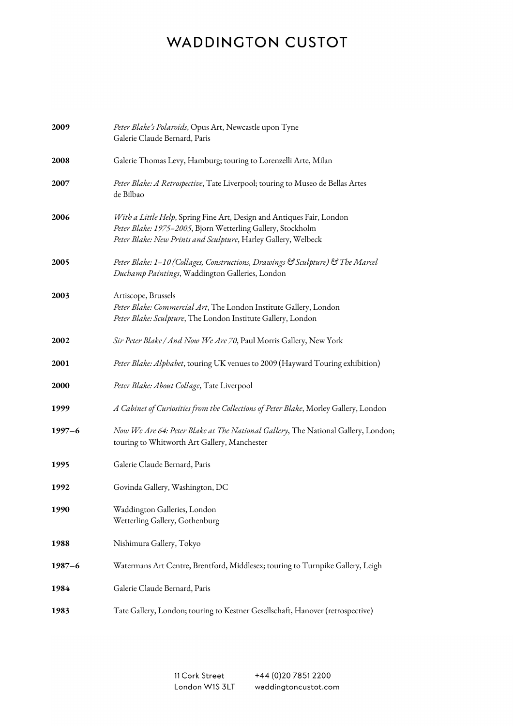| 2009        | Peter Blake's Polaroids, Opus Art, Newcastle upon Tyne<br>Galerie Claude Bernard, Paris                                                                                                                |
|-------------|--------------------------------------------------------------------------------------------------------------------------------------------------------------------------------------------------------|
| 2008        | Galerie Thomas Levy, Hamburg; touring to Lorenzelli Arte, Milan                                                                                                                                        |
| 2007        | Peter Blake: A Retrospective, Tate Liverpool; touring to Museo de Bellas Artes<br>de Bilbao                                                                                                            |
| 2006        | With a Little Help, Spring Fine Art, Design and Antiques Fair, London<br>Peter Blake: 1975-2005, Bjorn Wetterling Gallery, Stockholm<br>Peter Blake: New Prints and Sculpture, Harley Gallery, Welbeck |
| 2005        | Peter Blake: 1–10 (Collages, Constructions, Drawings & Sculpture) & The Marcel<br>Duchamp Paintings, Waddington Galleries, London                                                                      |
| 2003        | Artiscope, Brussels<br>Peter Blake: Commercial Art, The London Institute Gallery, London<br>Peter Blake: Sculpture, The London Institute Gallery, London                                               |
| 2002        | Sir Peter Blake / And Now We Are 70, Paul Morris Gallery, New York                                                                                                                                     |
| 2001        | Peter Blake: Alphabet, touring UK venues to 2009 (Hayward Touring exhibition)                                                                                                                          |
| <b>2000</b> | Peter Blake: About Collage, Tate Liverpool                                                                                                                                                             |
| 1999        | A Cabinet of Curiosities from the Collections of Peter Blake, Morley Gallery, London                                                                                                                   |
| $1997 - 6$  | Now We Are 64: Peter Blake at The National Gallery, The National Gallery, London;<br>touring to Whitworth Art Gallery, Manchester                                                                      |
| 1995        | Galerie Claude Bernard, Paris                                                                                                                                                                          |
| 1992        | Govinda Gallery, Washington, DC                                                                                                                                                                        |
| 1990        | Waddington Galleries, London<br>Wetterling Gallery, Gothenburg                                                                                                                                         |
| 1988        | Nishimura Gallery, Tokyo                                                                                                                                                                               |
| $1987 - 6$  | Watermans Art Centre, Brentford, Middlesex; touring to Turnpike Gallery, Leigh                                                                                                                         |
| 1984        | Galerie Claude Bernard, Paris                                                                                                                                                                          |
| 1983        | Tate Gallery, London; touring to Kestner Gesellschaft, Hanover (retrospective)                                                                                                                         |

11 Cork Street +44 (0)20 7851 2200 London W1S 3LT waddingtoncustot.com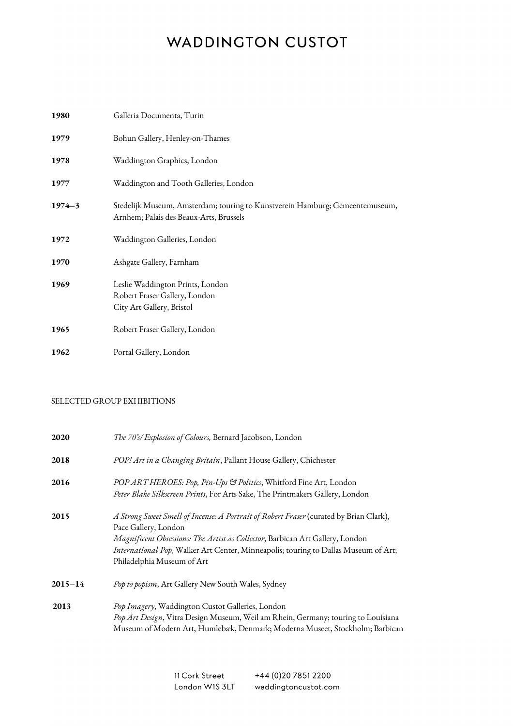| 1980       | Galleria Documenta, Turin                                                                                               |
|------------|-------------------------------------------------------------------------------------------------------------------------|
| 1979       | Bohun Gallery, Henley-on-Thames                                                                                         |
| 1978       | Waddington Graphics, London                                                                                             |
| 1977       | Waddington and Tooth Galleries, London                                                                                  |
| $1974 - 3$ | Stedelijk Museum, Amsterdam; touring to Kunstverein Hamburg; Gemeentemuseum,<br>Arnhem; Palais des Beaux-Arts, Brussels |
| 1972       | Waddington Galleries, London                                                                                            |
| 1970       | Ashgate Gallery, Farnham                                                                                                |
| 1969       | Leslie Waddington Prints, London<br>Robert Fraser Gallery, London<br>City Art Gallery, Bristol                          |
| 1965       | Robert Fraser Gallery, London                                                                                           |
| 1962       | Portal Gallery, London                                                                                                  |

#### SELECTED GROUP EXHIBITIONS

| 2020        | The 70's/Explosion of Colours, Bernard Jacobson, London                                                                                                                                                                                                                                                              |
|-------------|----------------------------------------------------------------------------------------------------------------------------------------------------------------------------------------------------------------------------------------------------------------------------------------------------------------------|
| 2018        | POP! Art in a Changing Britain, Pallant House Gallery, Chichester                                                                                                                                                                                                                                                    |
| 2016        | POP ART HEROES: Pop, Pin-Ups & Politics, Whitford Fine Art, London<br>Peter Blake Silkscreen Prints, For Arts Sake, The Printmakers Gallery, London                                                                                                                                                                  |
| 2015        | A Strong Sweet Smell of Incense: A Portrait of Robert Fraser (curated by Brian Clark),<br>Pace Gallery, London<br>Magnificent Obsessions: The Artist as Collector, Barbican Art Gallery, London<br>International Pop, Walker Art Center, Minneapolis; touring to Dallas Museum of Art;<br>Philadelphia Museum of Art |
| $2015 - 14$ | Pop to popism, Art Gallery New South Wales, Sydney                                                                                                                                                                                                                                                                   |
| 2013        | Pop Imagery, Waddington Custot Galleries, London<br>Pop Art Design, Vitra Design Museum, Weil am Rhein, Germany; touring to Louisiana<br>Museum of Modern Art, Humlebæk, Denmark; Moderna Museet, Stockholm; Barbican                                                                                                |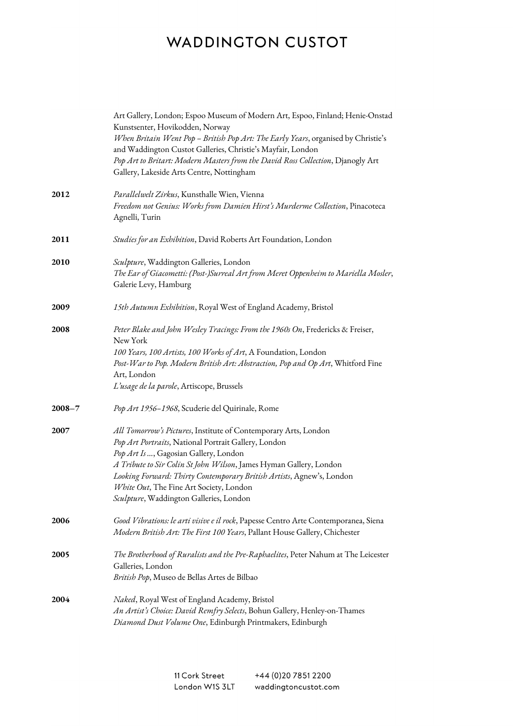|            | Art Gallery, London; Espoo Museum of Modern Art, Espoo, Finland; Henie-Onstad<br>Kunstsenter, Hovikodden, Norway<br>When Britain Went Pop - British Pop Art: The Early Years, organised by Christie's<br>and Waddington Custot Galleries, Christie's Mayfair, London<br>Pop Art to Britart: Modern Masters from the David Ross Collection, Djanogly Art<br>Gallery, Lakeside Arts Centre, Nottingham  |
|------------|-------------------------------------------------------------------------------------------------------------------------------------------------------------------------------------------------------------------------------------------------------------------------------------------------------------------------------------------------------------------------------------------------------|
| 2012       | Parallelwelt Zirkus, Kunsthalle Wien, Vienna<br>Freedom not Genius: Works from Damien Hirst's Murderme Collection, Pinacoteca<br>Agnelli, Turin                                                                                                                                                                                                                                                       |
| 2011       | Studies for an Exhibition, David Roberts Art Foundation, London                                                                                                                                                                                                                                                                                                                                       |
| 2010       | Sculpture, Waddington Galleries, London<br>The Ear of Giacometti: (Post-)Surreal Art from Meret Oppenheim to Mariella Mosler,<br>Galerie Levy, Hamburg                                                                                                                                                                                                                                                |
| 2009       | 15th Autumn Exhibition, Royal West of England Academy, Bristol                                                                                                                                                                                                                                                                                                                                        |
| 2008       | Peter Blake and John Wesley Tracings: From the 1960s On, Fredericks & Freiser,<br>New York<br>100 Years, 100 Artists, 100 Works of Art, A Foundation, London<br>Post-War to Pop. Modern British Art: Abstraction, Pop and Op Art, Whitford Fine<br>Art, London<br>L'usage de la parole, Artiscope, Brussels                                                                                           |
| $2008 - 7$ | Pop Art 1956-1968, Scuderie del Quirinale, Rome                                                                                                                                                                                                                                                                                                                                                       |
| 2007       | All Tomorrow's Pictures, Institute of Contemporary Arts, London<br>Pop Art Portraits, National Portrait Gallery, London<br>Pop Art Is , Gagosian Gallery, London<br>A Tribute to Sir Colin St John Wilson, James Hyman Gallery, London<br>Looking Forward: Thirty Contemporary British Artists, Agnew's, London<br>White Out, The Fine Art Society, London<br>Sculpture, Waddington Galleries, London |
| 2006       | Good Vibrations: le arti visive e il rock, Papesse Centro Arte Contemporanea, Siena<br>Modern British Art: The First 100 Years, Pallant House Gallery, Chichester                                                                                                                                                                                                                                     |
| 2005       | The Brotherhood of Ruralists and the Pre-Raphaelites, Peter Nahum at The Leicester<br>Galleries, London<br>British Pop, Museo de Bellas Artes de Bilbao                                                                                                                                                                                                                                               |
| 2004       | Naked, Royal West of England Academy, Bristol<br>An Artist's Choice: David Remfry Selects, Bohun Gallery, Henley-on-Thames<br>Diamond Dust Volume One, Edinburgh Printmakers, Edinburgh                                                                                                                                                                                                               |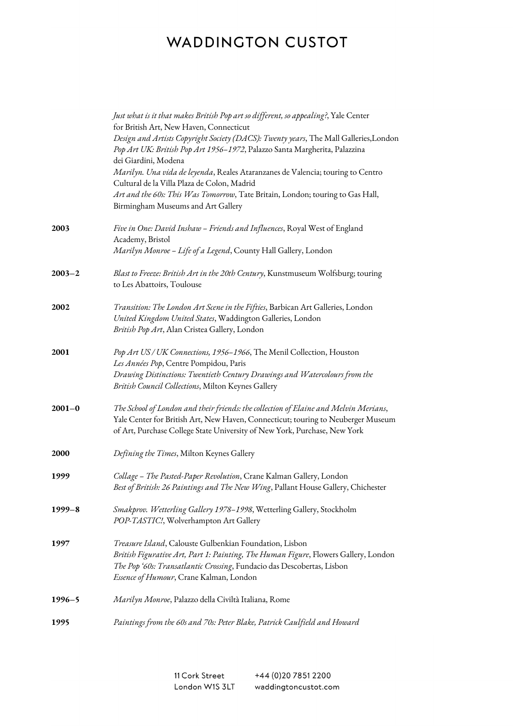|             | Just what is it that makes British Pop art so different, so appealing?, Yale Center<br>for British Art, New Haven, Connecticut<br>Design and Artists Copyright Society (DACS): Twenty years, The Mall Galleries, London<br>Pop Art UK: British Pop Art 1956-1972, Palazzo Santa Margherita, Palazzina<br>dei Giardini, Modena<br>Marilyn. Una vida de leyenda, Reales Ataranzanes de Valencia; touring to Centro<br>Cultural de la Villa Plaza de Colon, Madrid<br>Art and the 60s: This Was Tomorrow, Tate Britain, London; touring to Gas Hall,<br>Birmingham Museums and Art Gallery |
|-------------|-----------------------------------------------------------------------------------------------------------------------------------------------------------------------------------------------------------------------------------------------------------------------------------------------------------------------------------------------------------------------------------------------------------------------------------------------------------------------------------------------------------------------------------------------------------------------------------------|
| 2003        | Five in One: David Inshaw - Friends and Influences, Royal West of England<br>Academy, Bristol<br>Marilyn Monroe - Life of a Legend, County Hall Gallery, London                                                                                                                                                                                                                                                                                                                                                                                                                         |
| $2003 - 2$  | Blast to Freeze: British Art in the 20th Century, Kunstmuseum Wolfsburg; touring<br>to Les Abattoirs, Toulouse                                                                                                                                                                                                                                                                                                                                                                                                                                                                          |
| 2002        | Transition: The London Art Scene in the Fifties, Barbican Art Galleries, London<br>United Kingdom United States, Waddington Galleries, London<br>British Pop Art, Alan Cristea Gallery, London                                                                                                                                                                                                                                                                                                                                                                                          |
| 2001        | Pop Art US / UK Connections, 1956-1966, The Menil Collection, Houston<br>Les Années Pop, Centre Pompidou, Paris<br>Drawing Distinctions: Twentieth Century Drawings and Watercolours from the<br>British Council Collections, Milton Keynes Gallery                                                                                                                                                                                                                                                                                                                                     |
| $2001 - 0$  | The School of London and their friends: the collection of Elaine and Melvin Merians,<br>Yale Center for British Art, New Haven, Connecticut; touring to Neuberger Museum<br>of Art, Purchase College State University of New York, Purchase, New York                                                                                                                                                                                                                                                                                                                                   |
| <b>2000</b> | Defining the Times, Milton Keynes Gallery                                                                                                                                                                                                                                                                                                                                                                                                                                                                                                                                               |
| 1999        | Collage - The Pasted-Paper Revolution, Crane Kalman Gallery, London<br>Best of British: 26 Paintings and The New Wing, Pallant House Gallery, Chichester                                                                                                                                                                                                                                                                                                                                                                                                                                |
| $1999 - 8$  | Smakprov. Wetterling Gallery 1978-1998, Wetterling Gallery, Stockholm<br>POP-TASTIC!, Wolverhampton Art Gallery                                                                                                                                                                                                                                                                                                                                                                                                                                                                         |
| 1997        | Treasure Island, Calouste Gulbenkian Foundation, Lisbon<br>British Figurative Art, Part 1: Painting, The Human Figure, Flowers Gallery, London<br>The Pop '60s: Transatlantic Crossing, Fundacio das Descobertas, Lisbon<br>Essence of Humour, Crane Kalman, London                                                                                                                                                                                                                                                                                                                     |
| $1996 - 5$  | Marilyn Monroe, Palazzo della Civiltà Italiana, Rome                                                                                                                                                                                                                                                                                                                                                                                                                                                                                                                                    |
| 1995        | Paintings from the 60s and 70s: Peter Blake, Patrick Caulfield and Howard                                                                                                                                                                                                                                                                                                                                                                                                                                                                                                               |

11 Cork Street +44 (0) 20 7851 2200 London W1S 3LT waddingtoncustot.com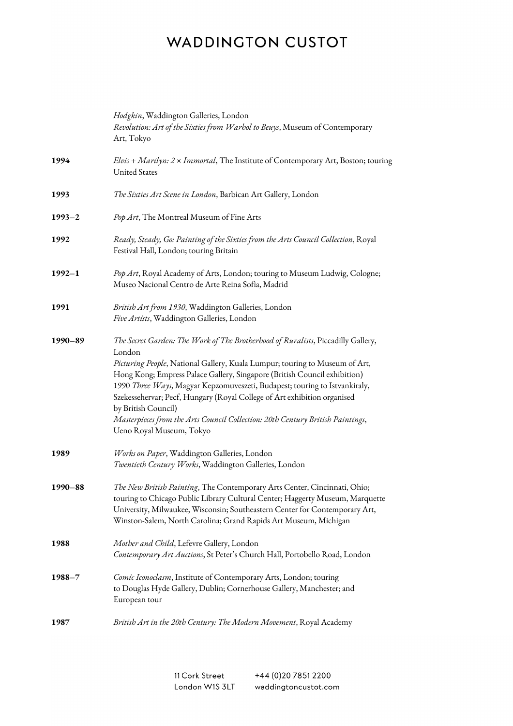|             | Hodgkin, Waddington Galleries, London<br>Revolution: Art of the Sixties from Warhol to Beuys, Museum of Contemporary<br>Art, Tokyo                                                                                                                                                                                                                                                                                                                                                                                                                    |
|-------------|-------------------------------------------------------------------------------------------------------------------------------------------------------------------------------------------------------------------------------------------------------------------------------------------------------------------------------------------------------------------------------------------------------------------------------------------------------------------------------------------------------------------------------------------------------|
| 1994        | Elvis + Marilyn: 2 x Immortal, The Institute of Contemporary Art, Boston; touring<br><b>United States</b>                                                                                                                                                                                                                                                                                                                                                                                                                                             |
| 1993        | The Sixties Art Scene in London, Barbican Art Gallery, London                                                                                                                                                                                                                                                                                                                                                                                                                                                                                         |
| $1993 - 2$  | Pop Art, The Montreal Museum of Fine Arts                                                                                                                                                                                                                                                                                                                                                                                                                                                                                                             |
| 1992        | Ready, Steady, Go: Painting of the Sixties from the Arts Council Collection, Royal<br>Festival Hall, London; touring Britain                                                                                                                                                                                                                                                                                                                                                                                                                          |
| $1992 - 1$  | Pop Art, Royal Academy of Arts, London; touring to Museum Ludwig, Cologne;<br>Museo Nacional Centro de Arte Reina Sofia, Madrid                                                                                                                                                                                                                                                                                                                                                                                                                       |
| 1991        | British Art from 1930, Waddington Galleries, London<br>Five Artists, Waddington Galleries, London                                                                                                                                                                                                                                                                                                                                                                                                                                                     |
| $1990 - 89$ | The Secret Garden: The Work of The Brotherhood of Ruralists, Piccadilly Gallery,<br>London<br>Picturing People, National Gallery, Kuala Lumpur; touring to Museum of Art,<br>Hong Kong; Empress Palace Gallery, Singapore (British Council exhibition)<br>1990 Three Ways, Magyar Kepzomuveszeti, Budapest; touring to Istvankiraly,<br>Szekessehervar; Pecf, Hungary (Royal College of Art exhibition organised<br>by British Council)<br>Masterpieces from the Arts Council Collection: 20th Century British Paintings,<br>Ueno Royal Museum, Tokyo |
| 1989        | Works on Paper, Waddington Galleries, London<br>Twentieth Century Works, Waddington Galleries, London                                                                                                                                                                                                                                                                                                                                                                                                                                                 |
| $1990 - 88$ | The New British Painting, The Contemporary Arts Center, Cincinnati, Ohio;<br>touring to Chicago Public Library Cultural Center; Haggerty Museum, Marquette<br>University, Milwaukee, Wisconsin; Southeastern Center for Contemporary Art,<br>Winston-Salem, North Carolina; Grand Rapids Art Museum, Michigan                                                                                                                                                                                                                                         |
| 1988        | Mother and Child, Lefevre Gallery, London<br>Contemporary Art Auctions, St Peter's Church Hall, Portobello Road, London                                                                                                                                                                                                                                                                                                                                                                                                                               |
| $1988 - 7$  | Comic Iconoclasm, Institute of Contemporary Arts, London; touring<br>to Douglas Hyde Gallery, Dublin; Cornerhouse Gallery, Manchester; and<br>European tour                                                                                                                                                                                                                                                                                                                                                                                           |
| 1987        | British Art in the 20th Century: The Modern Movement, Royal Academy                                                                                                                                                                                                                                                                                                                                                                                                                                                                                   |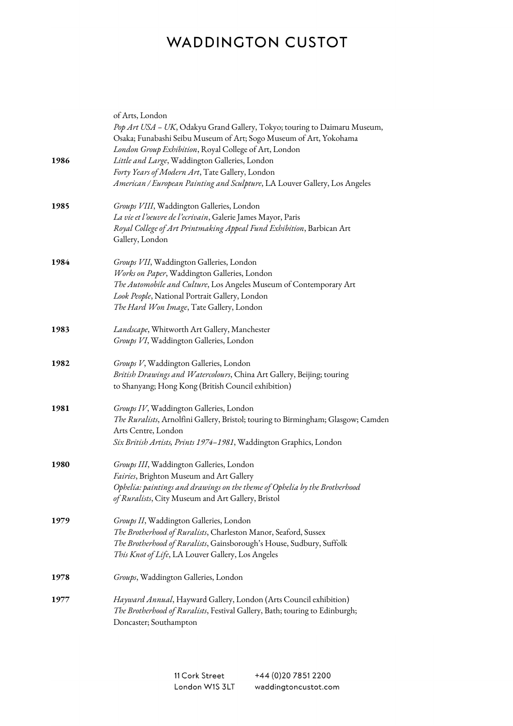|      | of Arts, London<br>Pop Art USA - UK, Odakyu Grand Gallery, Tokyo; touring to Daimaru Museum,<br>Osaka; Funabashi Seibu Museum of Art; Sogo Museum of Art, Yokohama |
|------|--------------------------------------------------------------------------------------------------------------------------------------------------------------------|
|      | London Group Exhibition, Royal College of Art, London                                                                                                              |
| 1986 | Little and Large, Waddington Galleries, London                                                                                                                     |
|      | Forty Years of Modern Art, Tate Gallery, London                                                                                                                    |
|      | American / European Painting and Sculpture, LA Louver Gallery, Los Angeles                                                                                         |
| 1985 | Groups VIII, Waddington Galleries, London                                                                                                                          |
|      | La vie et l'oeuvre de l'ecrivain, Galerie James Mayor, Paris                                                                                                       |
|      | Royal College of Art Printmaking Appeal Fund Exhibition, Barbican Art                                                                                              |
|      | Gallery, London                                                                                                                                                    |
| 1984 | Groups VII, Waddington Galleries, London                                                                                                                           |
|      | Works on Paper, Waddington Galleries, London                                                                                                                       |
|      | The Automobile and Culture, Los Angeles Museum of Contemporary Art                                                                                                 |
|      | Look People, National Portrait Gallery, London                                                                                                                     |
|      | The Hard Won Image, Tate Gallery, London                                                                                                                           |
| 1983 | Landscape, Whitworth Art Gallery, Manchester                                                                                                                       |
|      | Groups VI, Waddington Galleries, London                                                                                                                            |
| 1982 | Groups V, Waddington Galleries, London                                                                                                                             |
|      | British Drawings and Watercolours, China Art Gallery, Beijing; touring                                                                                             |
|      | to Shanyang; Hong Kong (British Council exhibition)                                                                                                                |
| 1981 | Groups IV, Waddington Galleries, London                                                                                                                            |
|      | The Ruralists, Arnolfini Gallery, Bristol; touring to Birmingham; Glasgow; Camden                                                                                  |
|      | Arts Centre, London                                                                                                                                                |
|      | Six British Artists, Prints 1974-1981, Waddington Graphics, London                                                                                                 |
| 1980 | Groups III, Waddington Galleries, London                                                                                                                           |
|      | Fairies, Brighton Museum and Art Gallery                                                                                                                           |
|      | Ophelia: paintings and drawings on the theme of Ophelia by the Brotherhood                                                                                         |
|      | of Ruralists, City Museum and Art Gallery, Bristol                                                                                                                 |
| 1979 | Groups II, Waddington Galleries, London                                                                                                                            |
|      | The Brotherhood of Ruralists, Charleston Manor, Seaford, Sussex                                                                                                    |
|      | The Brotherhood of Ruralists, Gainsborough's House, Sudbury, Suffolk                                                                                               |
|      | This Knot of Life, LA Louver Gallery, Los Angeles                                                                                                                  |
| 1978 | Groups, Waddington Galleries, London                                                                                                                               |
| 1977 | Hayward Annual, Hayward Gallery, London (Arts Council exhibition)                                                                                                  |
|      | The Brotherhood of Ruralists, Festival Gallery, Bath; touring to Edinburgh;                                                                                        |
|      | Doncaster; Southampton                                                                                                                                             |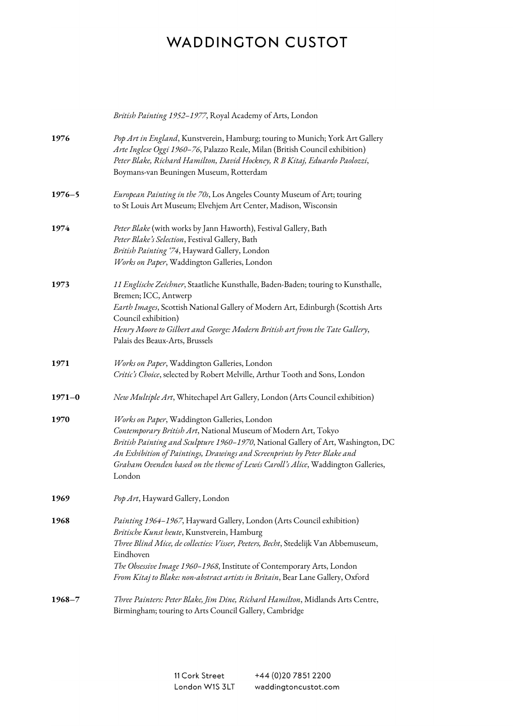|            | British Painting 1952-1977, Royal Academy of Arts, London                                                                                                                                                                                                                                                                                                                           |
|------------|-------------------------------------------------------------------------------------------------------------------------------------------------------------------------------------------------------------------------------------------------------------------------------------------------------------------------------------------------------------------------------------|
| 1976       | Pop Art in England, Kunstverein, Hamburg; touring to Munich; York Art Gallery<br>Arte Inglese Oggi 1960-76, Palazzo Reale, Milan (British Council exhibition)<br>Peter Blake, Richard Hamilton, David Hockney, R B Kitaj, Eduardo Paolozzi,<br>Boymans-van Beuningen Museum, Rotterdam                                                                                              |
| $1976 - 5$ | European Painting in the 70s, Los Angeles County Museum of Art; touring<br>to St Louis Art Museum; Elvehjem Art Center, Madison, Wisconsin                                                                                                                                                                                                                                          |
| 1974       | Peter Blake (with works by Jann Haworth), Festival Gallery, Bath<br>Peter Blake's Selection, Festival Gallery, Bath<br>British Painting '74, Hayward Gallery, London<br>Works on Paper, Waddington Galleries, London                                                                                                                                                                |
| 1973       | 11 Englische Zeichner, Staatliche Kunsthalle, Baden-Baden; touring to Kunsthalle,<br>Bremen; ICC, Antwerp<br>Earth Images, Scottish National Gallery of Modern Art, Edinburgh (Scottish Arts<br>Council exhibition)<br>Henry Moore to Gilbert and George: Modern British art from the Tate Gallery,<br>Palais des Beaux-Arts, Brussels                                              |
| 1971       | Works on Paper, Waddington Galleries, London<br>Critic's Choice, selected by Robert Melville, Arthur Tooth and Sons, London                                                                                                                                                                                                                                                         |
| $1971 - 0$ | New Multiple Art, Whitechapel Art Gallery, London (Arts Council exhibition)                                                                                                                                                                                                                                                                                                         |
| 1970       | Works on Paper, Waddington Galleries, London<br>Contemporary British Art, National Museum of Modern Art, Tokyo<br>British Painting and Sculpture 1960-1970, National Gallery of Art, Washington, DC<br>An Exhibition of Paintings, Drawings and Screenprints by Peter Blake and<br>Graham Ovenden based on the theme of Lewis Caroll's Alice, Waddington Galleries,<br>London       |
| 1969       | Pop Art, Hayward Gallery, London                                                                                                                                                                                                                                                                                                                                                    |
| 1968       | Painting 1964-1967, Hayward Gallery, London (Arts Council exhibition)<br>Britische Kunst heute, Kunstverein, Hamburg<br>Three Blind Mice, de collecties: Visser, Peeters, Becht, Stedelijk Van Abbemuseum,<br>Eindhoven<br>The Obsessive Image 1960-1968, Institute of Contemporary Arts, London<br>From Kitaj to Blake: non-abstract artists in Britain, Bear Lane Gallery, Oxford |
| $1968 - 7$ | Three Painters: Peter Blake, Jim Dine, Richard Hamilton, Midlands Arts Centre,<br>Birmingham; touring to Arts Council Gallery, Cambridge                                                                                                                                                                                                                                            |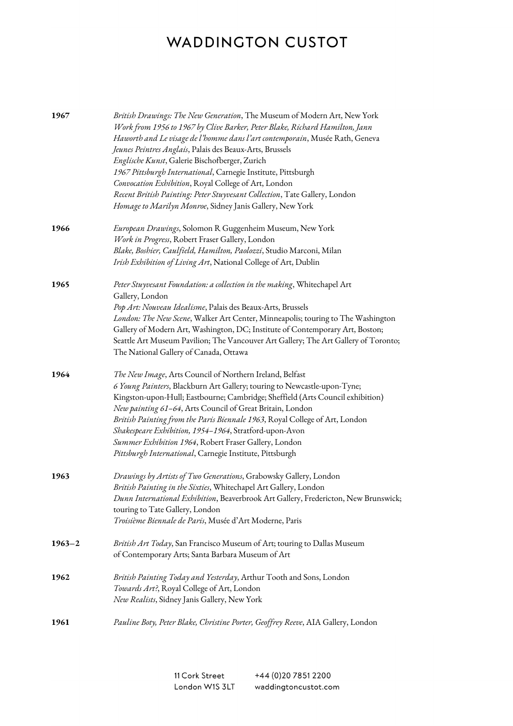| 1967       | British Drawings: The New Generation, The Museum of Modern Art, New York<br>Work from 1956 to 1967 by Clive Barker, Peter Blake, Richard Hamilton, Jann<br>Haworth and Le visage de l'homme dans l'art contemporain, Musée Rath, Geneva<br>Jeunes Peintres Anglais, Palais des Beaux-Arts, Brussels<br>Englische Kunst, Galerie Bischofberger, Zurich<br>1967 Pittsburgh International, Carnegie Institute, Pittsburgh<br>Convocation Exhibition, Royal College of Art, London<br>Recent British Painting: Peter Stuyvesant Collection, Tate Gallery, London<br>Homage to Marilyn Monroe, Sidney Janis Gallery, New York |
|------------|--------------------------------------------------------------------------------------------------------------------------------------------------------------------------------------------------------------------------------------------------------------------------------------------------------------------------------------------------------------------------------------------------------------------------------------------------------------------------------------------------------------------------------------------------------------------------------------------------------------------------|
| 1966       | European Drawings, Solomon R Guggenheim Museum, New York<br>Work in Progress, Robert Fraser Gallery, London<br>Blake, Boshier, Caulfield, Hamilton, Paolozzi, Studio Marconi, Milan<br>Irish Exhibition of Living Art, National College of Art, Dublin                                                                                                                                                                                                                                                                                                                                                                   |
| 1965       | Peter Stuyvesant Foundation: a collection in the making, Whitechapel Art<br>Gallery, London<br>Pop Art: Nouveau Idealisme, Palais des Beaux-Arts, Brussels<br>London: The New Scene, Walker Art Center, Minneapolis; touring to The Washington<br>Gallery of Modern Art, Washington, DC; Institute of Contemporary Art, Boston;<br>Seattle Art Museum Pavilion; The Vancouver Art Gallery; The Art Gallery of Toronto;<br>The National Gallery of Canada, Ottawa                                                                                                                                                         |
| 1964       | The New Image, Arts Council of Northern Ireland, Belfast<br>6 Young Painters, Blackburn Art Gallery; touring to Newcastle-upon-Tyne;<br>Kingston-upon-Hull; Eastbourne; Cambridge; Sheffield (Arts Council exhibition)<br>New painting 61-64, Arts Council of Great Britain, London<br>British Painting from the Paris Biennale 1963, Royal College of Art, London<br>Shakespeare Exhibition, 1954-1964, Stratford-upon-Avon<br>Summer Exhibition 1964, Robert Fraser Gallery, London<br>Pittsburgh International, Carnegie Institute, Pittsburgh                                                                        |
| 1963       | Drawings by Artists of Two Generations, Grabowsky Gallery, London<br>British Painting in the Sixties, Whitechapel Art Gallery, London<br>Dunn International Exhibition, Beaverbrook Art Gallery, Fredericton, New Brunswick;<br>touring to Tate Gallery, London<br>Troisième Biennale de Paris, Musée d'Art Moderne, Paris                                                                                                                                                                                                                                                                                               |
| $1963 - 2$ | British Art Today, San Francisco Museum of Art; touring to Dallas Museum<br>of Contemporary Arts; Santa Barbara Museum of Art                                                                                                                                                                                                                                                                                                                                                                                                                                                                                            |
| 1962       | British Painting Today and Yesterday, Arthur Tooth and Sons, London<br>Towards Art?, Royal College of Art, London<br>New Realists, Sidney Janis Gallery, New York                                                                                                                                                                                                                                                                                                                                                                                                                                                        |
| 1961       | Pauline Boty, Peter Blake, Christine Porter, Geoffrey Reeve, AIA Gallery, London                                                                                                                                                                                                                                                                                                                                                                                                                                                                                                                                         |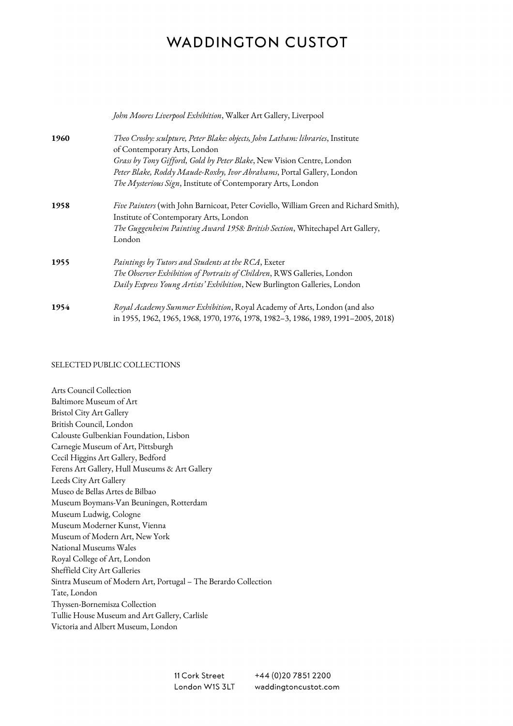|      | John Moores Liverpool Exhibition, Walker Art Gallery, Liverpool                                                 |
|------|-----------------------------------------------------------------------------------------------------------------|
| 1960 | Theo Crosby: sculpture, Peter Blake: objects, John Latham: libraries, Institute<br>of Contemporary Arts, London |
|      | Grass by Tony Gifford, Gold by Peter Blake, New Vision Centre, London                                           |
|      | Peter Blake, Roddy Maude-Roxby, Ivor Abrahams, Portal Gallery, London                                           |
|      | The Mysterious Sign, Institute of Contemporary Arts, London                                                     |
| 1958 | <i>Five Painters</i> (with John Barnicoat, Peter Coviello, William Green and Richard Smith),                    |
|      | Institute of Contemporary Arts, London                                                                          |
|      | The Guggenheim Painting Award 1958: British Section, Whitechapel Art Gallery,<br>London                         |
|      |                                                                                                                 |
| 1955 | Paintings by Tutors and Students at the RCA, Exeter                                                             |
|      | The Observer Exhibition of Portraits of Children, RWS Galleries, London                                         |
|      | Daily Express Young Artists' Exhibition, New Burlington Galleries, London                                       |
| 1954 | Royal Academy Summer Exhibition, Royal Academy of Arts, London (and also                                        |
|      | in 1955, 1962, 1965, 1968, 1970, 1976, 1978, 1982-3, 1986, 1989, 1991-2005, 2018)                               |

#### SELECTED PUBLIC COLLECTIONS

Arts Council Collection Baltimore Museum of Art Bristol City Art Gallery British Council, London Calouste Gulbenkian Foundation, Lisbon Carnegie Museum of Art, Pittsburgh Cecil Higgins Art Gallery, Bedford Ferens Art Gallery, Hull Museums & Art Gallery Leeds City Art Gallery Museo de Bellas Artes de Bilbao Museum Boymans-Van Beuningen, Rotterdam Museum Ludwig, Cologne Museum Moderner Kunst, Vienna Museum of Modern Art, New York National Museums Wales Royal College of Art, London Sheffield City Art Galleries Sintra Museum of Modern Art, Portugal – The Berardo Collection Tate, London Thyssen-Bornemisza Collection Tullie House Museum and Art Gallery, Carlisle Victoria and Albert Museum, London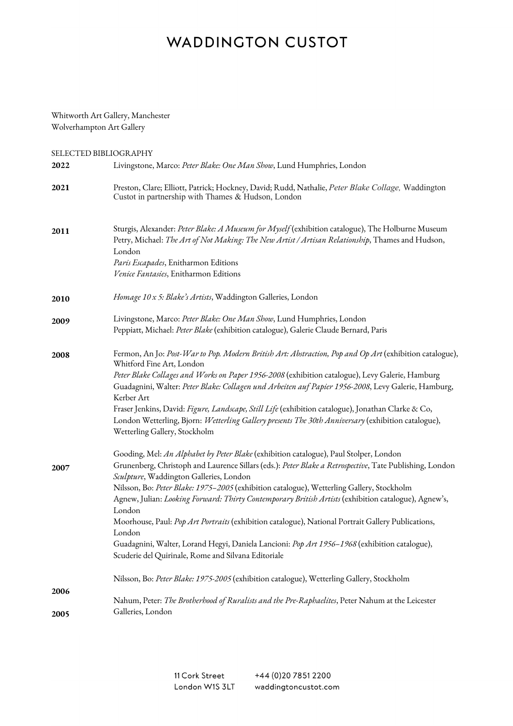#### Whitworth Art Gallery, Manchester Wolverhampton Art Gallery

SELECTED BIBLIOGRAPHY

| 2022 | Livingstone, Marco: Peter Blake: One Man Show, Lund Humphries, London                                                                                                                                                                                                                                                                                                                                                                                                                                                                                                                                                                                                                                                              |
|------|------------------------------------------------------------------------------------------------------------------------------------------------------------------------------------------------------------------------------------------------------------------------------------------------------------------------------------------------------------------------------------------------------------------------------------------------------------------------------------------------------------------------------------------------------------------------------------------------------------------------------------------------------------------------------------------------------------------------------------|
| 2021 | Preston, Clare; Elliott, Patrick; Hockney, David; Rudd, Nathalie, Peter Blake Collage, Waddington<br>Custot in partnership with Thames & Hudson, London                                                                                                                                                                                                                                                                                                                                                                                                                                                                                                                                                                            |
| 2011 | Sturgis, Alexander: Peter Blake: A Museum for Myself (exhibition catalogue), The Holburne Museum<br>Petry, Michael: The Art of Not Making: The New Artist / Artisan Relationship, Thames and Hudson,<br>London<br>Paris Escapades, Enitharmon Editions<br>Venice Fantasies, Enitharmon Editions                                                                                                                                                                                                                                                                                                                                                                                                                                    |
| 2010 | Homage 10 x 5: Blake's Artists, Waddington Galleries, London                                                                                                                                                                                                                                                                                                                                                                                                                                                                                                                                                                                                                                                                       |
| 2009 | Livingstone, Marco: Peter Blake: One Man Show, Lund Humphries, London<br>Peppiatt, Michael: Peter Blake (exhibition catalogue), Galerie Claude Bernard, Paris                                                                                                                                                                                                                                                                                                                                                                                                                                                                                                                                                                      |
| 2008 | Fermon, An Jo: Post-War to Pop. Modern British Art: Abstraction, Pop and Op Art (exhibition catalogue),<br>Whitford Fine Art, London<br>Peter Blake Collages and Works on Paper 1956-2008 (exhibition catalogue), Levy Galerie, Hamburg<br>Guadagnini, Walter: Peter Blake: Collagen und Arbeiten auf Papier 1956-2008, Levy Galerie, Hamburg,<br>Kerber Art<br>Fraser Jenkins, David: Figure, Landscape, Still Life (exhibition catalogue), Jonathan Clarke & Co,<br>London Wetterling, Bjorn: Wetterling Gallery presents The 30th Anniversary (exhibition catalogue),<br>Wetterling Gallery, Stockholm                                                                                                                          |
| 2007 | Gooding, Mel: An Alphabet by Peter Blake (exhibition catalogue), Paul Stolper, London<br>Grunenberg, Christoph and Laurence Sillars (eds.): Peter Blake a Retrospective, Tate Publishing, London<br>Sculpture, Waddington Galleries, London<br>Nilsson, Bo: Peter Blake: 1975-2005 (exhibition catalogue), Wetterling Gallery, Stockholm<br>Agnew, Julian: Looking Forward: Thirty Contemporary British Artists (exhibition catalogue), Agnew's,<br>London<br>Moorhouse, Paul: Pop Art Portraits (exhibition catalogue), National Portrait Gallery Publications,<br>London<br>Guadagnini, Walter, Lorand Hegyi, Daniela Lancioni: Pop Art 1956-1968 (exhibition catalogue),<br>Scuderie del Quirinale, Rome and Silvana Editoriale |
| 2006 | Nilsson, Bo: Peter Blake: 1975-2005 (exhibition catalogue), Wetterling Gallery, Stockholm                                                                                                                                                                                                                                                                                                                                                                                                                                                                                                                                                                                                                                          |
| 2005 | Nahum, Peter: The Brotherhood of Ruralists and the Pre-Raphaelites, Peter Nahum at the Leicester<br>Galleries, London                                                                                                                                                                                                                                                                                                                                                                                                                                                                                                                                                                                                              |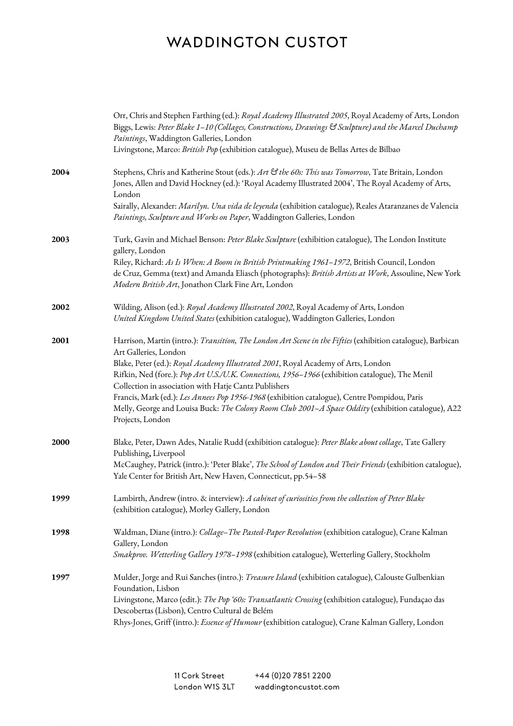|      | Orr, Chris and Stephen Farthing (ed.): Royal Academy Illustrated 2005, Royal Academy of Arts, London<br>Biggs, Lewis: Peter Blake 1–10 (Collages, Constructions, Drawings & Sculpture) and the Marcel Duchamp<br>Paintings, Waddington Galleries, London<br>Livingstone, Marco: British Pop (exhibition catalogue), Museu de Bellas Artes de Bilbao                                                                                                                                                                                                                                                              |
|------|------------------------------------------------------------------------------------------------------------------------------------------------------------------------------------------------------------------------------------------------------------------------------------------------------------------------------------------------------------------------------------------------------------------------------------------------------------------------------------------------------------------------------------------------------------------------------------------------------------------|
| 2004 | Stephens, Chris and Katherine Stout (eds.): Art & the 60s: This was Tomorrow, Tate Britain, London<br>Jones, Allen and David Hockney (ed.): 'Royal Academy Illustrated 2004', The Royal Academy of Arts,<br>London<br>Sairally, Alexander: Marilyn. Una vida de leyenda (exhibition catalogue), Reales Ataranzanes de Valencia                                                                                                                                                                                                                                                                                   |
|      | Paintings, Sculpture and Works on Paper, Waddington Galleries, London                                                                                                                                                                                                                                                                                                                                                                                                                                                                                                                                            |
| 2003 | Turk, Gavin and Michael Benson: Peter Blake Sculpture (exhibition catalogue), The London Institute<br>gallery, London                                                                                                                                                                                                                                                                                                                                                                                                                                                                                            |
|      | Riley, Richard: As Is When: A Boom in British Printmaking 1961-1972, British Council, London<br>de Cruz, Gemma (text) and Amanda Eliasch (photographs): British Artists at Work, Assouline, New York<br>Modern British Art, Jonathon Clark Fine Art, London                                                                                                                                                                                                                                                                                                                                                      |
| 2002 | Wilding, Alison (ed.): Royal Academy Illustrated 2002, Royal Academy of Arts, London<br>United Kingdom United States (exhibition catalogue), Waddington Galleries, London                                                                                                                                                                                                                                                                                                                                                                                                                                        |
| 2001 | Harrison, Martin (intro.): Transition, The London Art Scene in the Fifties (exhibition catalogue), Barbican<br>Art Galleries, London<br>Blake, Peter (ed.): Royal Academy Illustrated 2001, Royal Academy of Arts, London<br>Rifkin, Ned (fore.): Pop Art U.S./U.K. Connections, 1956-1966 (exhibition catalogue), The Menil<br>Collection in association with Hatje Cantz Publishers<br>Francis, Mark (ed.): Les Annees Pop 1956-1968 (exhibition catalogue), Centre Pompidou, Paris<br>Melly, George and Louisa Buck: The Colony Room Club 2001-A Space Oddity (exhibition catalogue), A22<br>Projects, London |
| 2000 | Blake, Peter, Dawn Ades, Natalie Rudd (exhibition catalogue): Peter Blake about collage, Tate Gallery<br>Publishing, Liverpool<br>McCaughey, Patrick (intro.): 'Peter Blake', The School of London and Their Friends (exhibition catalogue),<br>Yale Center for British Art, New Haven, Connecticut, pp.54-58                                                                                                                                                                                                                                                                                                    |
| 1999 | Lambirth, Andrew (intro. & interview): A cabinet of curiosities from the collection of Peter Blake<br>(exhibition catalogue), Morley Gallery, London                                                                                                                                                                                                                                                                                                                                                                                                                                                             |
| 1998 | Waldman, Diane (intro.): Collage-The Pasted-Paper Revolution (exhibition catalogue), Crane Kalman<br>Gallery, London<br>Smakprov. Wetterling Gallery 1978-1998 (exhibition catalogue), Wetterling Gallery, Stockholm                                                                                                                                                                                                                                                                                                                                                                                             |
| 1997 | Mulder, Jorge and Rui Sanches (intro.): Treasure Island (exhibition catalogue), Calouste Gulbenkian<br>Foundation, Lisbon<br>Livingstone, Marco (edit.): The Pop '60s: Transatlantic Crossing (exhibition catalogue), Fundaçao das<br>Descobertas (Lisbon), Centro Cultural de Belém<br>Rhys-Jones, Griff (intro.): Essence of Humour (exhibition catalogue), Crane Kalman Gallery, London                                                                                                                                                                                                                       |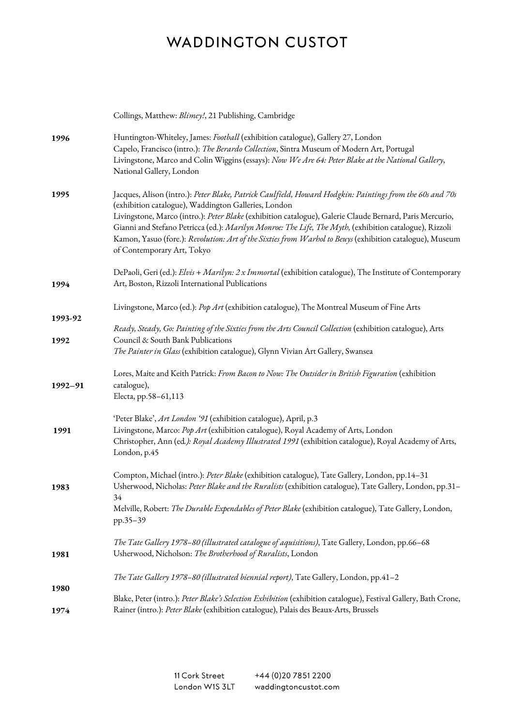|             | Collings, Matthew: Blimey!, 21 Publishing, Cambridge                                                                                                                                                                                                                                                                                                                                                                                                                                                                             |
|-------------|----------------------------------------------------------------------------------------------------------------------------------------------------------------------------------------------------------------------------------------------------------------------------------------------------------------------------------------------------------------------------------------------------------------------------------------------------------------------------------------------------------------------------------|
| 1996        | Huntington-Whiteley, James: Football (exhibition catalogue), Gallery 27, London<br>Capelo, Francisco (intro.): The Berardo Collection, Sintra Museum of Modern Art, Portugal<br>Livingstone, Marco and Colin Wiggins (essays): Now We Are 64: Peter Blake at the National Gallery,<br>National Gallery, London                                                                                                                                                                                                                   |
| 1995        | Jacques, Alison (intro.): Peter Blake, Patrick Caulfield, Howard Hodgkin: Paintings from the 60s and 70s<br>(exhibition catalogue), Waddington Galleries, London<br>Livingstone, Marco (intro.): Peter Blake (exhibition catalogue), Galerie Claude Bernard, Paris Mercurio,<br>Gianni and Stefano Petricca (ed.): Marilyn Monroe: The Life, The Myth, (exhibition catalogue), Rizzoli<br>Kamon, Yasuo (fore.): Revolution: Art of the Sixties from Warhol to Beuys (exhibition catalogue), Museum<br>of Contemporary Art, Tokyo |
| 1994        | DePaoli, Geri (ed.): Elvis + Marilyn: 2 x Immortal (exhibition catalogue), The Institute of Contemporary<br>Art, Boston, Rizzoli International Publications                                                                                                                                                                                                                                                                                                                                                                      |
| 1993-92     | Livingstone, Marco (ed.): Pop Art (exhibition catalogue), The Montreal Museum of Fine Arts                                                                                                                                                                                                                                                                                                                                                                                                                                       |
| 1992        | Ready, Steady, Go: Painting of the Sixties from the Arts Council Collection (exhibition catalogue), Arts<br>Council & South Bank Publications<br>The Painter in Glass (exhibition catalogue), Glynn Vivian Art Gallery, Swansea                                                                                                                                                                                                                                                                                                  |
| $1992 - 91$ | Lores, Maite and Keith Patrick: From Bacon to Now: The Outsider in British Figuration (exhibition<br>catalogue),<br>Electa, pp.58-61,113                                                                                                                                                                                                                                                                                                                                                                                         |
| 1991        | 'Peter Blake', Art London '91 (exhibition catalogue), April, p.3<br>Livingstone, Marco: Pop Art (exhibition catalogue), Royal Academy of Arts, London<br>Christopher, Ann (ed.): Royal Academy Illustrated 1991 (exhibition catalogue), Royal Academy of Arts,<br>London, p.45                                                                                                                                                                                                                                                   |
| 1983        | Compton, Michael (intro.): Peter Blake (exhibition catalogue), Tate Gallery, London, pp.14-31<br>Usherwood, Nicholas: Peter Blake and the Ruralists (exhibition catalogue), Tate Gallery, London, pp.31-<br>34<br>Melville, Robert: The Durable Expendables of Peter Blake (exhibition catalogue), Tate Gallery, London,<br>pp.35-39                                                                                                                                                                                             |
| 1981        | The Tate Gallery 1978-80 (illustrated catalogue of aquisitions), Tate Gallery, London, pp.66-68<br>Usherwood, Nicholson: The Brotherhood of Ruralists, London                                                                                                                                                                                                                                                                                                                                                                    |
| 1980        | The Tate Gallery 1978-80 (illustrated biennial report), Tate Gallery, London, pp.41-2                                                                                                                                                                                                                                                                                                                                                                                                                                            |
| 1974        | Blake, Peter (intro.): Peter Blake's Selection Exhibition (exhibition catalogue), Festival Gallery, Bath Crone,<br>Rainer (intro.): Peter Blake (exhibition catalogue), Palais des Beaux-Arts, Brussels                                                                                                                                                                                                                                                                                                                          |